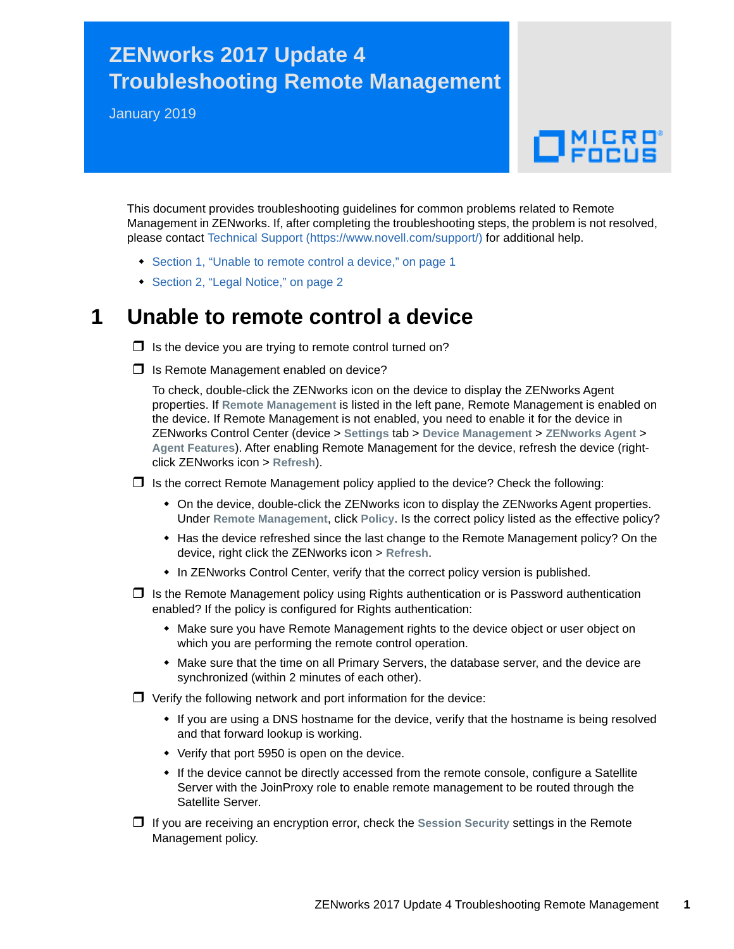## **ZENworks 2017 Update 4 Troubleshooting Remote Management**

January 2019

# $\Box$ MICRO

This document provides troubleshooting guidelines for common problems related to Remote Management in ZENworks. If, after completing the troubleshooting steps, the problem is not resolved, please contact [Technical Support](https://www.novell.com/support/) (https://www.novell.com/support/) for additional help.

- [Section 1, "Unable to remote control a device," on page 1](#page-0-0)
- ◆ [Section 2, "Legal Notice," on page 2](#page-1-0)

#### <span id="page-0-0"></span>**1 Unable to remote control a device**

 $\Box$  Is the device you are trying to remote control turned on?

 $\Box$  Is Remote Management enabled on device?

To check, double-click the ZENworks icon on the device to display the ZENworks Agent properties. If **Remote Management** is listed in the left pane, Remote Management is enabled on the device. If Remote Management is not enabled, you need to enable it for the device in ZENworks Control Center (device > **Settings** tab > **Device Management** > **ZENworks Agent** > **Agent Features**). After enabling Remote Management for the device, refresh the device (rightclick ZENworks icon > **Refresh**).

 $\Box$  Is the correct Remote Management policy applied to the device? Check the following:

- On the device, double-click the ZENworks icon to display the ZENworks Agent properties. Under **Remote Management**, click **Policy**. Is the correct policy listed as the effective policy?
- Has the device refreshed since the last change to the Remote Management policy? On the device, right click the ZENworks icon > **Refresh**.
- In ZENworks Control Center, verify that the correct policy version is published.
- $\Box$  Is the Remote Management policy using Rights authentication or is Password authentication enabled? If the policy is configured for Rights authentication:
	- Make sure you have Remote Management rights to the device object or user object on which you are performing the remote control operation.
	- Make sure that the time on all Primary Servers, the database server, and the device are synchronized (within 2 minutes of each other).
- $\Box$  Verify the following network and port information for the device:
	- If you are using a DNS hostname for the device, verify that the hostname is being resolved and that forward lookup is working.
	- Verify that port 5950 is open on the device.
	- If the device cannot be directly accessed from the remote console, configure a Satellite Server with the JoinProxy role to enable remote management to be routed through the Satellite Server.
- If you are receiving an encryption error, check the **Session Security** settings in the Remote Management policy.